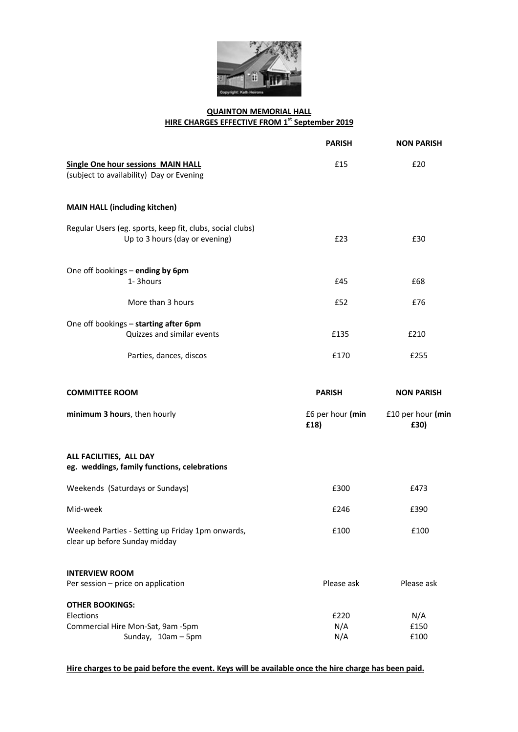

## **QUAINTON MEMORIAL HALL HIRE CHARGES EFFECTIVE FROM 1 st September 2019**

|                                                                                                | <b>PARISH</b>            | <b>NON PARISH</b>         |
|------------------------------------------------------------------------------------------------|--------------------------|---------------------------|
| <b>Single One hour sessions MAIN HALL</b><br>(subject to availability) Day or Evening          | £15                      | £20                       |
| <b>MAIN HALL (including kitchen)</b>                                                           |                          |                           |
| Regular Users (eg. sports, keep fit, clubs, social clubs)<br>Up to 3 hours (day or evening)    | £23                      | £30                       |
| One off bookings - ending by 6pm                                                               |                          |                           |
| 1-3hours                                                                                       | £45                      | £68                       |
| More than 3 hours                                                                              | £52                      | £76                       |
| One off bookings - starting after 6pm                                                          |                          |                           |
| Quizzes and similar events                                                                     | £135                     | £210                      |
| Parties, dances, discos                                                                        | £170                     | £255                      |
| <b>COMMITTEE ROOM</b>                                                                          | <b>PARISH</b>            | <b>NON PARISH</b>         |
| minimum 3 hours, then hourly                                                                   | £6 per hour (min<br>£18) | £10 per hour (min<br>£30) |
| ALL FACILITIES, ALL DAY<br>eg. weddings, family functions, celebrations                        |                          |                           |
| Weekends (Saturdays or Sundays)                                                                | £300                     | £473                      |
| Mid-week                                                                                       | £246                     | £390                      |
| Weekend Parties - Setting up Friday 1pm onwards,<br>clear up before Sunday midday              | £100                     | £100                      |
| <b>INTERVIEW ROOM</b><br>Per session - price on application                                    | Please ask               | Please ask                |
| <b>OTHER BOOKINGS:</b><br>Elections<br>Commercial Hire Mon-Sat, 9am -5pm<br>Sunday, 10am - 5pm | £220<br>N/A<br>N/A       | N/A<br>£150<br>£100       |

**Hire charges to be paid before the event. Keys will be available once the hire charge has been paid.**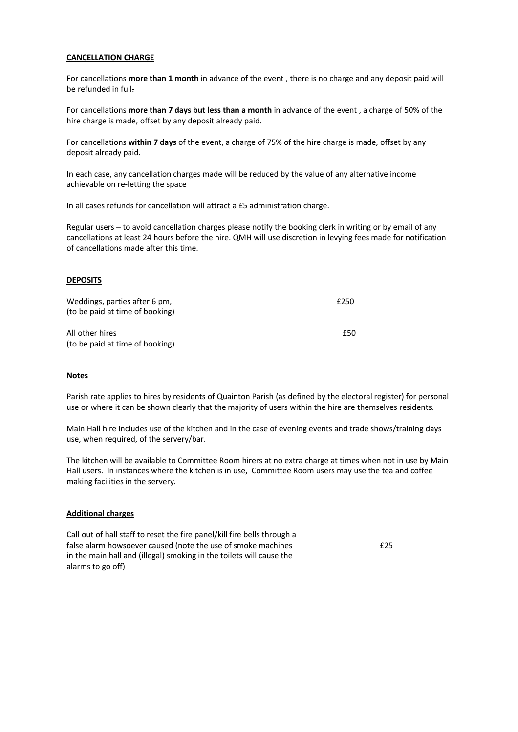#### **CANCELLATION CHARGE**

For cancellations **more than 1 month** in advance of the event , there is no charge and any deposit paid will be refunded in full.

For cancellations **more than 7 days but less than a month** in advance of the event , a charge of 50% of the hire charge is made, offset by any deposit already paid.

For cancellations **within 7 days** of the event, a charge of 75% of the hire charge is made, offset by any deposit already paid.

In each case, any cancellation charges made will be reduced by the value of any alternative income achievable on re-letting the space

In all cases refunds for cancellation will attract a £5 administration charge.

Regular users – to avoid cancellation charges please notify the booking clerk in writing or by email of any cancellations at least 24 hours before the hire. QMH will use discretion in levying fees made for notification of cancellations made after this time.

### **DEPOSITS**

| Weddings, parties after 6 pm,<br>(to be paid at time of booking) | £250 |
|------------------------------------------------------------------|------|
| All other hires<br>(to be paid at time of booking)               | £50  |

#### **Notes**

Parish rate applies to hires by residents of Quainton Parish (as defined by the electoral register) for personal use or where it can be shown clearly that the majority of users within the hire are themselves residents.

Main Hall hire includes use of the kitchen and in the case of evening events and trade shows/training days use, when required, of the servery/bar.

The kitchen will be available to Committee Room hirers at no extra charge at times when not in use by Main Hall users. In instances where the kitchen is in use, Committee Room users may use the tea and coffee making facilities in the servery.

#### **Additional charges**

Call out of hall staff to reset the fire panel/kill fire bells through a false alarm howsoever caused (note the use of smoke machines in the main hall and (illegal) smoking in the toilets will cause the alarms to go off)

£25